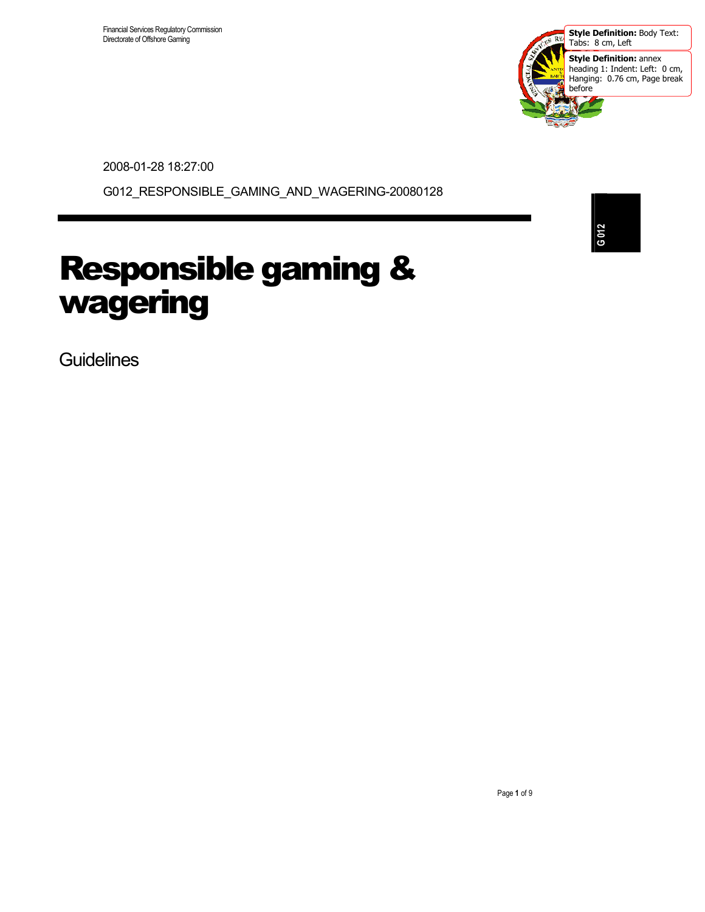

2008-01-28 18:27:00

G012\_RESPONSIBLE\_GAMING\_AND\_WAGERING-20080128

# **G 012**

### Responsible gaming & wagering

**Guidelines**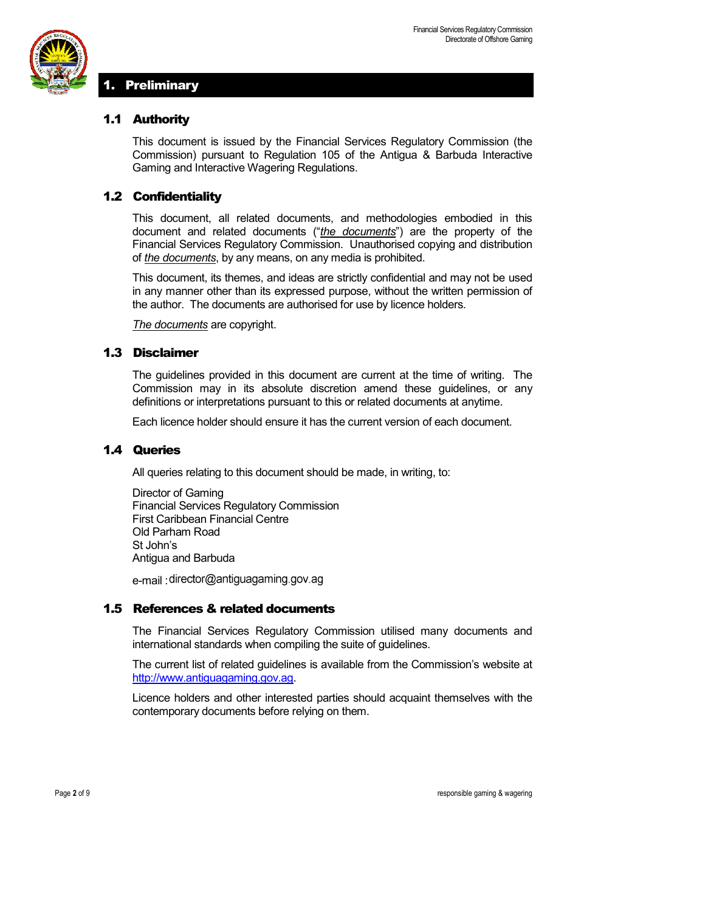

#### 1. Preliminary

#### 1.1 Authority

This document is issued by the Financial Services Regulatory Commission (the Commission) pursuant to Regulation 105 of the Antigua & Barbuda Interactive Gaming and Interactive Wagering Regulations.

#### 1.2 Confidentiality

This document, all related documents, and methodologies embodied in this document and related documents ("*the documents*") are the property of the Financial Services Regulatory Commission. Unauthorised copying and distribution of *the documents*, by any means, on any media is prohibited.

This document, its themes, and ideas are strictly confidential and may not be used in any manner other than its expressed purpose, without the written permission of the author. The documents are authorised for use by licence holders.

*The documents* are copyright.

#### 1.3 Disclaimer

The guidelines provided in this document are current at the time of writing. The Commission may in its absolute discretion amend these guidelines, or any definitions or interpretations pursuant to this or related documents at anytime.

Each licence holder should ensure it has the current version of each document.

#### 1.4 Queries

All queries relating to this document should be made, in writing, to:

Director of Gaming Financial Services Regulatory Commission First Caribbean Financial Centre Old Parham Road St John's Antigua and Barbuda

e-mail : director@antiguagaming.gov.ag

#### 1.5 References & related documents

The Financial Services Regulatory Commission utilised many documents and international standards when compiling the suite of guidelines.

The current list of related guidelines is available from the Commission's website at http://www.antiguagaming.gov.ag.

Licence holders and other interested parties should acquaint themselves with the contemporary documents before relying on them.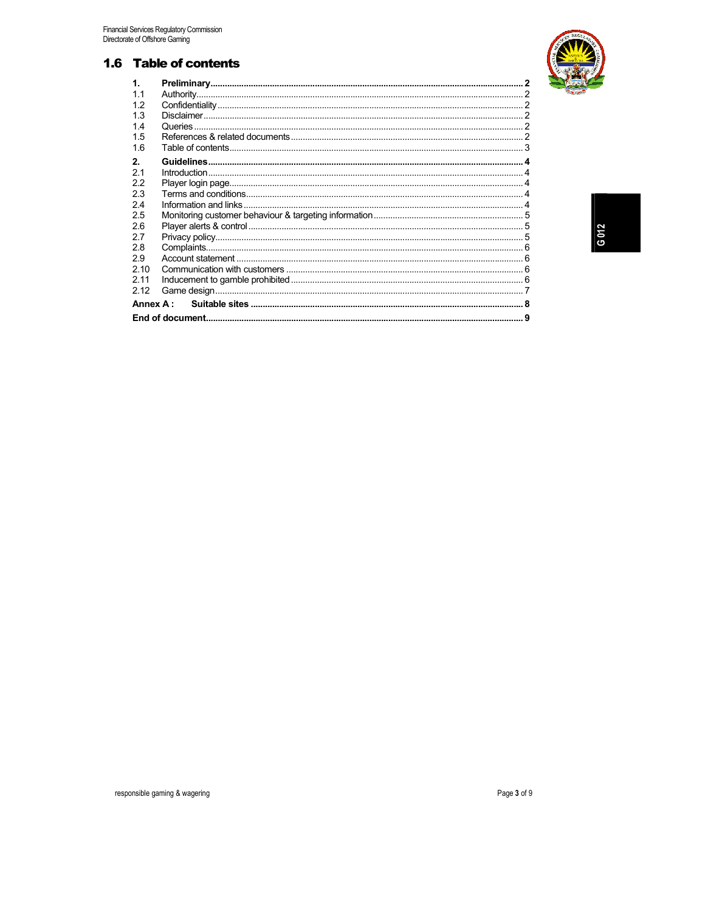$\mathbf{1}$ .

 $1.1$ 

12  $1.3$ 

 $14$ 

1.5

1.6  $2.$ 

 $2.1$ 

 $2.2$ 

 $2.3$ 

 $2.4$ 

 $2.5$ 

 $26$ 

2.7

 $28$ 2.9

 $2.10$  $2.11$ 

 $2.12$ 

Annex A:

#### **1.6 Table of contents**



**G 012**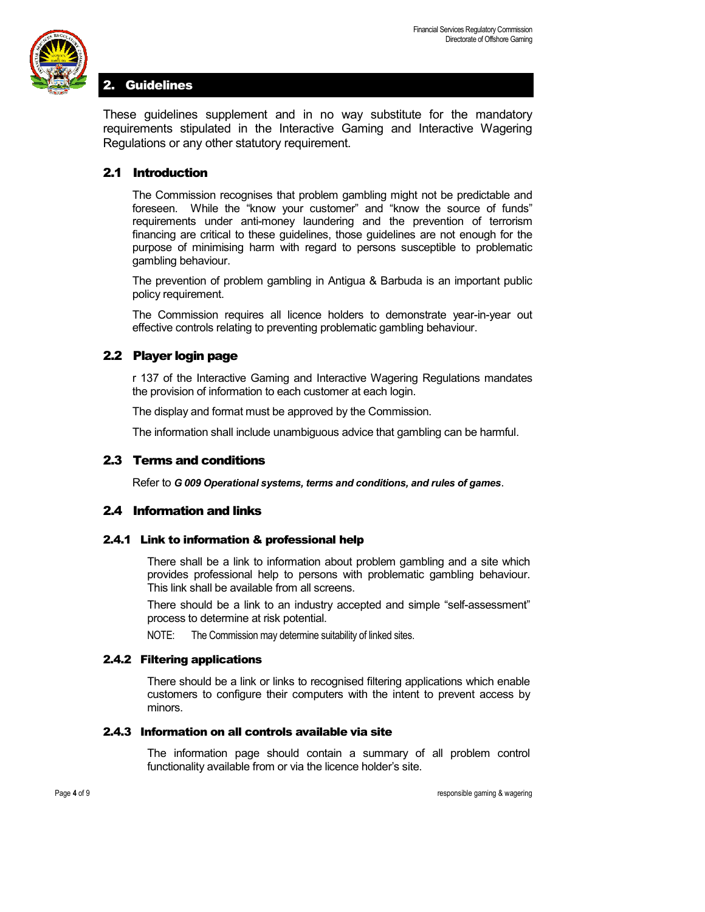

#### 2. Guidelines

These guidelines supplement and in no way substitute for the mandatory requirements stipulated in the Interactive Gaming and Interactive Wagering Regulations or any other statutory requirement.

#### 2.1 Introduction

The Commission recognises that problem gambling might not be predictable and foreseen. While the "know your customer" and "know the source of funds" requirements under anti-money laundering and the prevention of terrorism financing are critical to these guidelines, those guidelines are not enough for the purpose of minimising harm with regard to persons susceptible to problematic gambling behaviour.

The prevention of problem gambling in Antigua & Barbuda is an important public policy requirement.

The Commission requires all licence holders to demonstrate year-in-year out effective controls relating to preventing problematic gambling behaviour.

#### 2.2 Player login page

r 137 of the Interactive Gaming and Interactive Wagering Regulations mandates the provision of information to each customer at each login.

The display and format must be approved by the Commission.

The information shall include unambiguous advice that gambling can be harmful.

#### 2.3 Terms and conditions

Refer to *G 009 Operational systems, terms and conditions, and rules of games*.

#### 2.4 Information and links

#### 2.4.1 Link to information & professional help

There shall be a link to information about problem gambling and a site which provides professional help to persons with problematic gambling behaviour. This link shall be available from all screens.

There should be a link to an industry accepted and simple "self-assessment" process to determine at risk potential.

NOTE: The Commission may determine suitability of linked sites.

#### 2.4.2 Filtering applications

There should be a link or links to recognised filtering applications which enable customers to configure their computers with the intent to prevent access by minors.

#### 2.4.3 Information on all controls available via site

The information page should contain a summary of all problem control functionality available from or via the licence holder's site.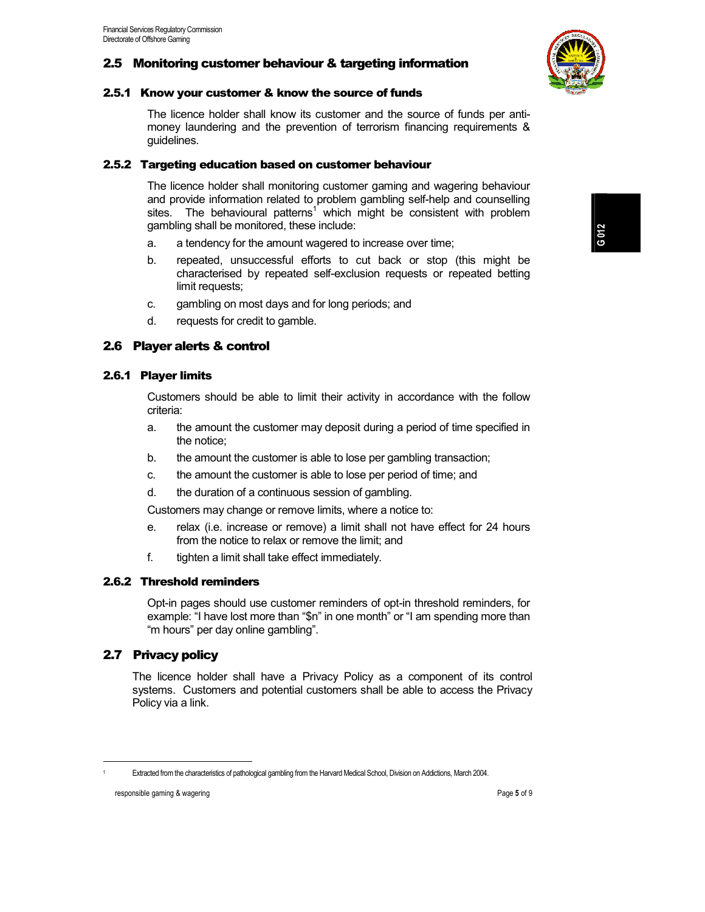#### 2.5 Monitoring customer behaviour & targeting information

#### 2.5.1 Know your customer & know the source of funds

The licence holder shall know its customer and the source of funds per antimoney laundering and the prevention of terrorism financing requirements & guidelines.

#### 2.5.2 Targeting education based on customer behaviour

The licence holder shall monitoring customer gaming and wagering behaviour and provide information related to problem gambling self-help and counselling sites. The behavioural patterns<sup>1</sup> which might be consistent with problem gambling shall be monitored, these include:

- a. a tendency for the amount wagered to increase over time;
- b. repeated, unsuccessful efforts to cut back or stop (this might be characterised by repeated self-exclusion requests or repeated betting limit requests;
- c. gambling on most days and for long periods; and
- d. requests for credit to gamble.

#### 2.6 Player alerts & control

#### 2.6.1 Player limits

Customers should be able to limit their activity in accordance with the follow criteria:

- a. the amount the customer may deposit during a period of time specified in the notice;
- b. the amount the customer is able to lose per gambling transaction;
- c. the amount the customer is able to lose per period of time; and
- d. the duration of a continuous session of gambling.

Customers may change or remove limits, where a notice to:

- e. relax (i.e. increase or remove) a limit shall not have effect for 24 hours from the notice to relax or remove the limit; and
- f. tighten a limit shall take effect immediately.

#### 2.6.2 Threshold reminders

Opt-in pages should use customer reminders of opt-in threshold reminders, for example: "I have lost more than "\$n" in one month" or "I am spending more than "m hours" per day online gambling".

#### 2.7 Privacy policy

The licence holder shall have a Privacy Policy as a component of its control systems. Customers and potential customers shall be able to access the Privacy Policy via a link.

l



Gaming Associat

<sup>1</sup> Extracted from the characteristics of pathological gambling from the Harvard Medical School, Division on Addictions, March 2004.

responsible gaming & wagering Page **5** of 9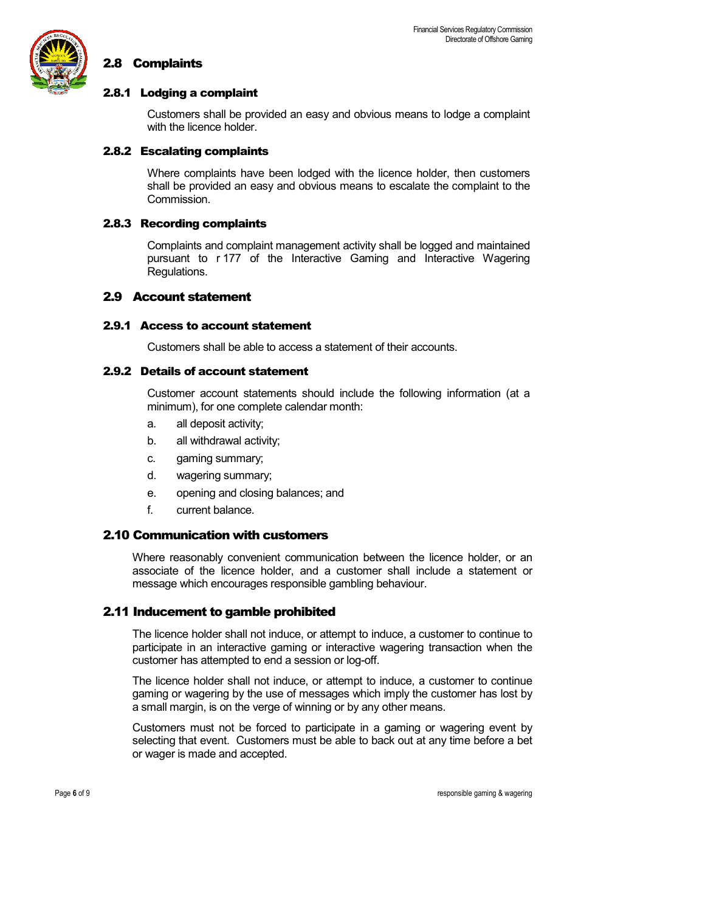

#### 2.8 Complaints

#### 2.8.1 Lodging a complaint

Customers shall be provided an easy and obvious means to lodge a complaint with the licence holder.

#### 2.8.2 Escalating complaints

Where complaints have been lodged with the licence holder, then customers shall be provided an easy and obvious means to escalate the complaint to the Commission.

#### 2.8.3 Recording complaints

Complaints and complaint management activity shall be logged and maintained pursuant to r 177 of the Interactive Gaming and Interactive Wagering Regulations.

#### 2.9 Account statement

#### 2.9.1 Access to account statement

Customers shall be able to access a statement of their accounts.

#### 2.9.2 Details of account statement

Customer account statements should include the following information (at a minimum), for one complete calendar month:

- a. all deposit activity;
- b. all withdrawal activity;
- c. gaming summary;
- d. wagering summary;
- e. opening and closing balances; and
- f. current balance.

#### 2.10 Communication with customers

Where reasonably convenient communication between the licence holder, or an associate of the licence holder, and a customer shall include a statement or message which encourages responsible gambling behaviour.

#### 2.11 Inducement to gamble prohibited

The licence holder shall not induce, or attempt to induce, a customer to continue to participate in an interactive gaming or interactive wagering transaction when the customer has attempted to end a session or log-off.

The licence holder shall not induce, or attempt to induce, a customer to continue gaming or wagering by the use of messages which imply the customer has lost by a small margin, is on the verge of winning or by any other means.

Customers must not be forced to participate in a gaming or wagering event by selecting that event. Customers must be able to back out at any time before a bet or wager is made and accepted.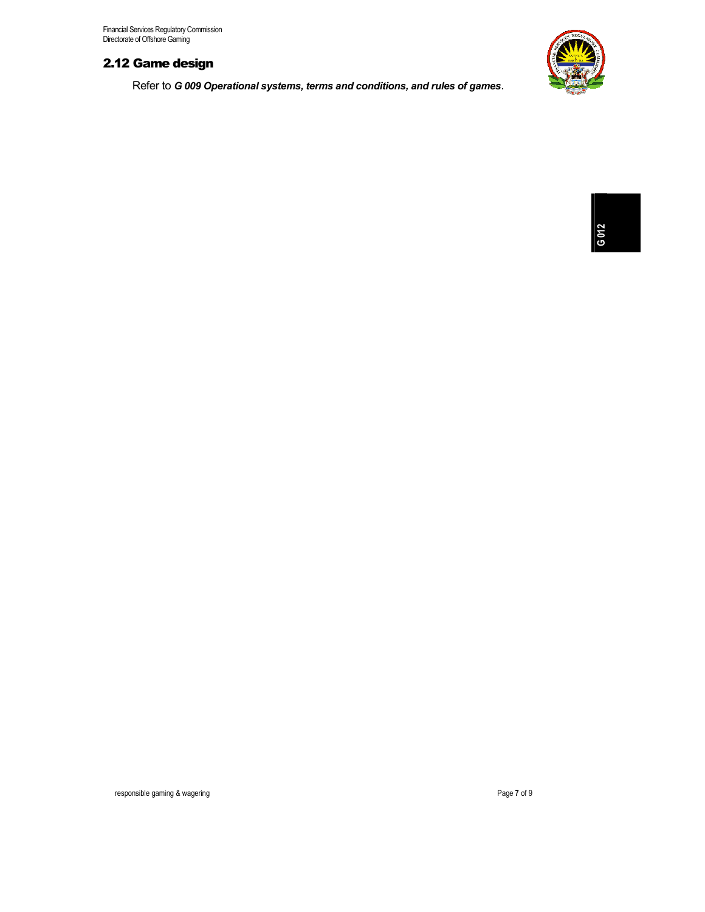#### 2.12 Game design

Refer to *G 009 Operational systems, terms and conditions, and rules of games*.



## **G 012**

responsible gaming & wagering **Page 7** of 9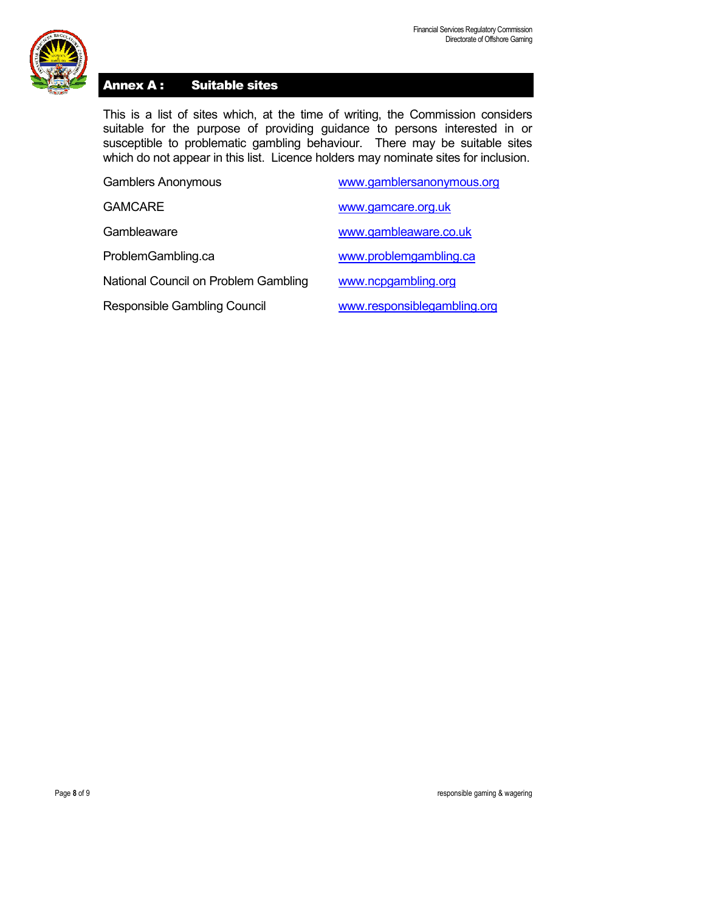

#### Annex A : Suitable sites

This is a list of sites which, at the time of writing, the Commission considers suitable for the purpose of providing guidance to persons interested in or susceptible to problematic gambling behaviour. There may be suitable sites which do not appear in this list. Licence holders may nominate sites for inclusion.

| <b>Gamblers Anonymous</b>            | www.gamblersanonymous.org   |
|--------------------------------------|-----------------------------|
| <b>GAMCARE</b>                       | www.gamcare.org.uk          |
| Gambleaware                          | www.gambleaware.co.uk       |
| ProblemGambling.ca                   | www.problemgambling.ca      |
| National Council on Problem Gambling | www.ncpgambling.org         |
| Responsible Gambling Council         | www.responsiblegambling.org |

Page **8** of 9 **responsible gaming & wagering**